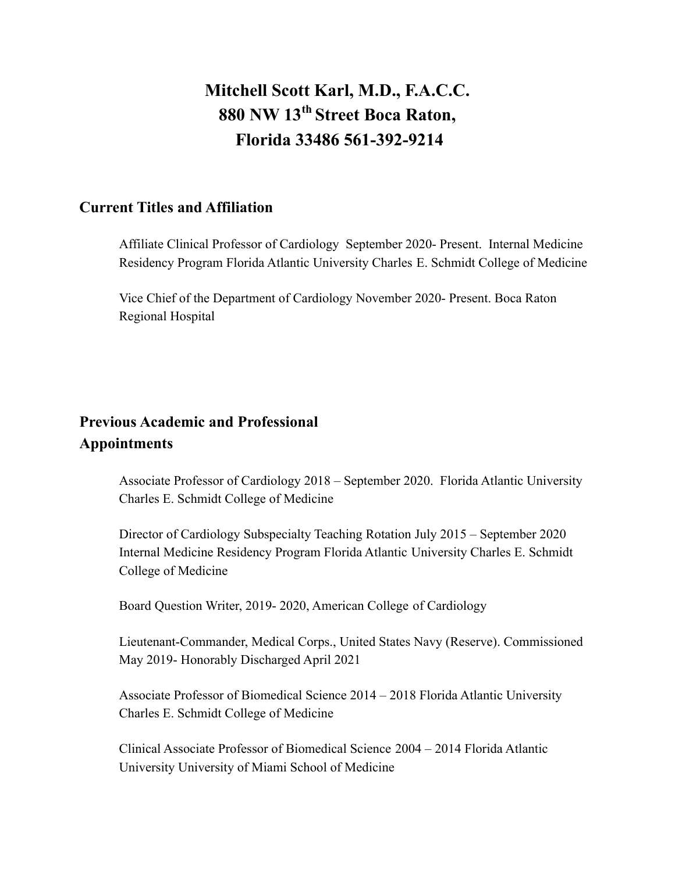# **Mitchell Scott Karl, M.D., F.A.C.C. 880 NW 13th Street Boca Raton, Florida 33486 561-392-9214**

#### **Current Titles and Affiliation**

Affiliate Clinical Professor of Cardiology September 2020- Present. Internal Medicine Residency Program Florida Atlantic University Charles E. Schmidt College of Medicine

Vice Chief of the Department of Cardiology November 2020- Present. Boca Raton Regional Hospital

## **Previous Academic and Professional Appointments**

Associate Professor of Cardiology 2018 – September 2020. Florida Atlantic University Charles E. Schmidt College of Medicine

Director of Cardiology Subspecialty Teaching Rotation July 2015 – September 2020 Internal Medicine Residency Program Florida Atlantic University Charles E. Schmidt College of Medicine

Board Question Writer, 2019- 2020, American College of Cardiology

Lieutenant-Commander, Medical Corps., United States Navy (Reserve). Commissioned May 2019- Honorably Discharged April 2021

Associate Professor of Biomedical Science 2014 – 2018 Florida Atlantic University Charles E. Schmidt College of Medicine

Clinical Associate Professor of Biomedical Science 2004 – 2014 Florida Atlantic University University of Miami School of Medicine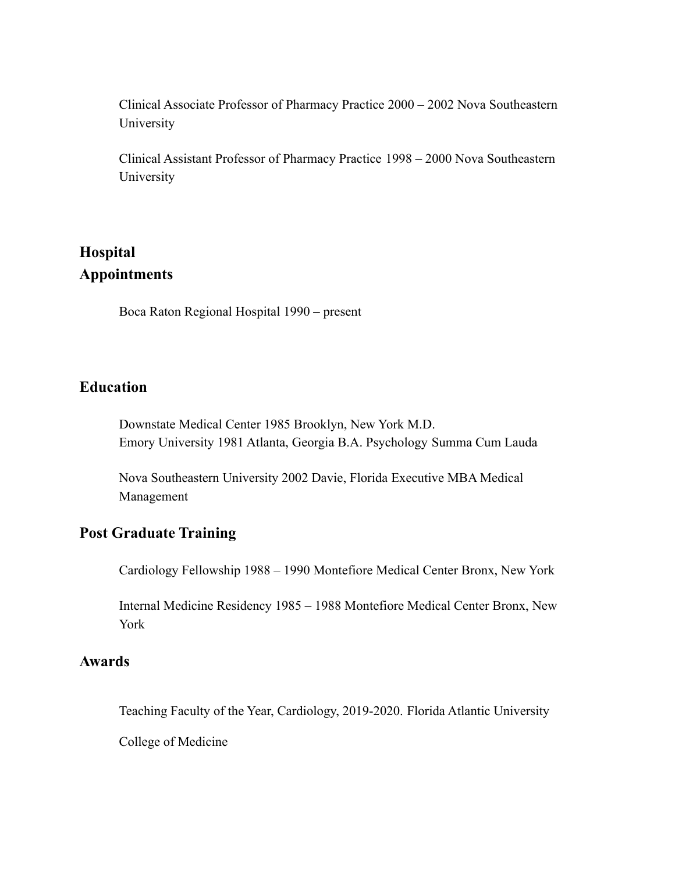Clinical Associate Professor of Pharmacy Practice 2000 – 2002 Nova Southeastern University

Clinical Assistant Professor of Pharmacy Practice 1998 – 2000 Nova Southeastern University

### **Hospital Appointments**

Boca Raton Regional Hospital 1990 – present

#### **Education**

Downstate Medical Center 1985 Brooklyn, New York M.D. Emory University 1981 Atlanta, Georgia B.A. Psychology Summa Cum Lauda

Nova Southeastern University 2002 Davie, Florida Executive MBA Medical Management

#### **Post Graduate Training**

Cardiology Fellowship 1988 – 1990 Montefiore Medical Center Bronx, New York

Internal Medicine Residency 1985 – 1988 Montefiore Medical Center Bronx, New York

#### **Awards**

Teaching Faculty of the Year, Cardiology, 2019-2020. Florida Atlantic University

College of Medicine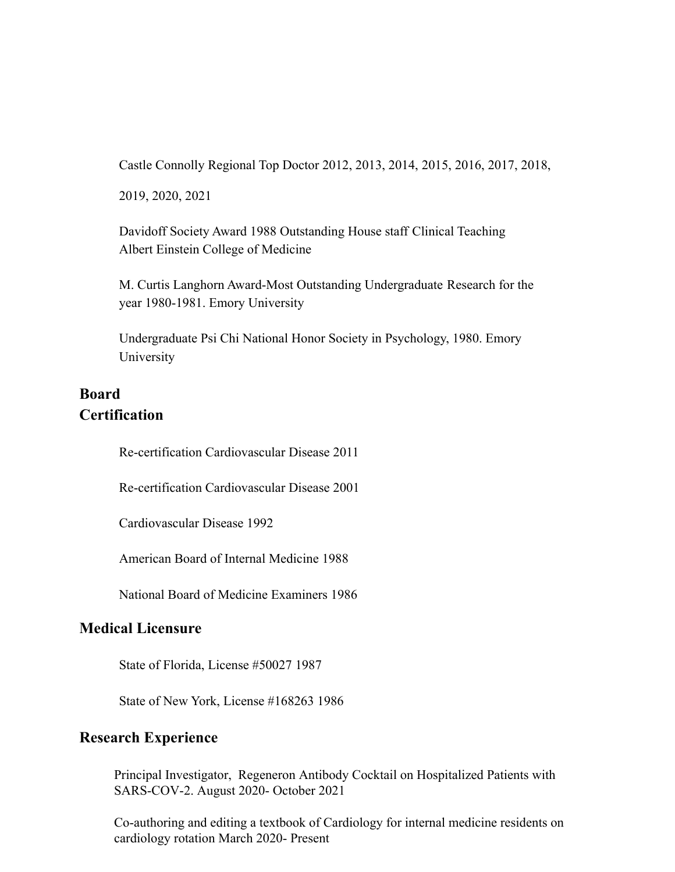Castle Connolly Regional Top Doctor 2012, 2013, 2014, 2015, 2016, 2017, 2018,

2019, 2020, 2021

Davidoff Society Award 1988 Outstanding House staff Clinical Teaching Albert Einstein College of Medicine

M. Curtis Langhorn Award-Most Outstanding Undergraduate Research for the year 1980-1981. Emory University

Undergraduate Psi Chi National Honor Society in Psychology, 1980. Emory University

### **Board Certification**

Re-certification Cardiovascular Disease 2011

Re-certification Cardiovascular Disease 2001

Cardiovascular Disease 1992

American Board of Internal Medicine 1988

National Board of Medicine Examiners 1986

#### **Medical Licensure**

State of Florida, License #50027 1987

State of New York, License #168263 1986

#### **Research Experience**

Principal Investigator, Regeneron Antibody Cocktail on Hospitalized Patients with SARS-COV-2. August 2020- October 2021

Co-authoring and editing a textbook of Cardiology for internal medicine residents on cardiology rotation March 2020- Present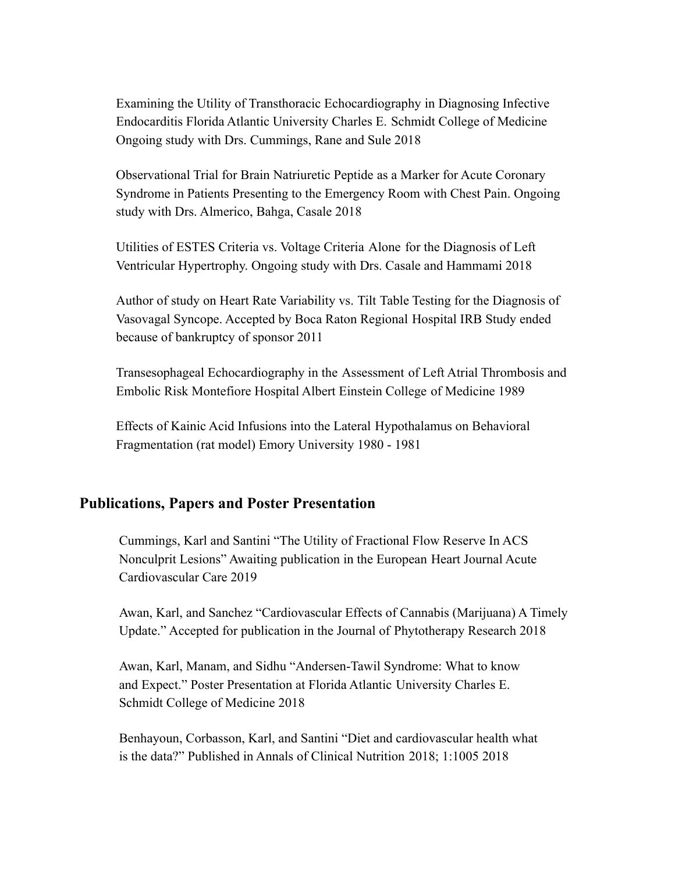Examining the Utility of Transthoracic Echocardiography in Diagnosing Infective Endocarditis Florida Atlantic University Charles E. Schmidt College of Medicine Ongoing study with Drs. Cummings, Rane and Sule 2018

Observational Trial for Brain Natriuretic Peptide as a Marker for Acute Coronary Syndrome in Patients Presenting to the Emergency Room with Chest Pain. Ongoing study with Drs. Almerico, Bahga, Casale 2018

Utilities of ESTES Criteria vs. Voltage Criteria Alone for the Diagnosis of Left Ventricular Hypertrophy. Ongoing study with Drs. Casale and Hammami 2018

Author of study on Heart Rate Variability vs. Tilt Table Testing for the Diagnosis of Vasovagal Syncope. Accepted by Boca Raton Regional Hospital IRB Study ended because of bankruptcy of sponsor 2011

Transesophageal Echocardiography in the Assessment of Left Atrial Thrombosis and Embolic Risk Montefiore Hospital Albert Einstein College of Medicine 1989

Effects of Kainic Acid Infusions into the Lateral Hypothalamus on Behavioral Fragmentation (rat model) Emory University 1980 - 1981

#### **Publications, Papers and Poster Presentation**

Cummings, Karl and Santini "The Utility of Fractional Flow Reserve In ACS Nonculprit Lesions" Awaiting publication in the European Heart Journal Acute Cardiovascular Care 2019

Awan, Karl, and Sanchez "Cardiovascular Effects of Cannabis (Marijuana) A Timely Update." Accepted for publication in the Journal of Phytotherapy Research 2018

Awan, Karl, Manam, and Sidhu "Andersen-Tawil Syndrome: What to know and Expect." Poster Presentation at Florida Atlantic University Charles E. Schmidt College of Medicine 2018

Benhayoun, Corbasson, Karl, and Santini "Diet and cardiovascular health what is the data?" Published in Annals of Clinical Nutrition 2018; 1:1005 2018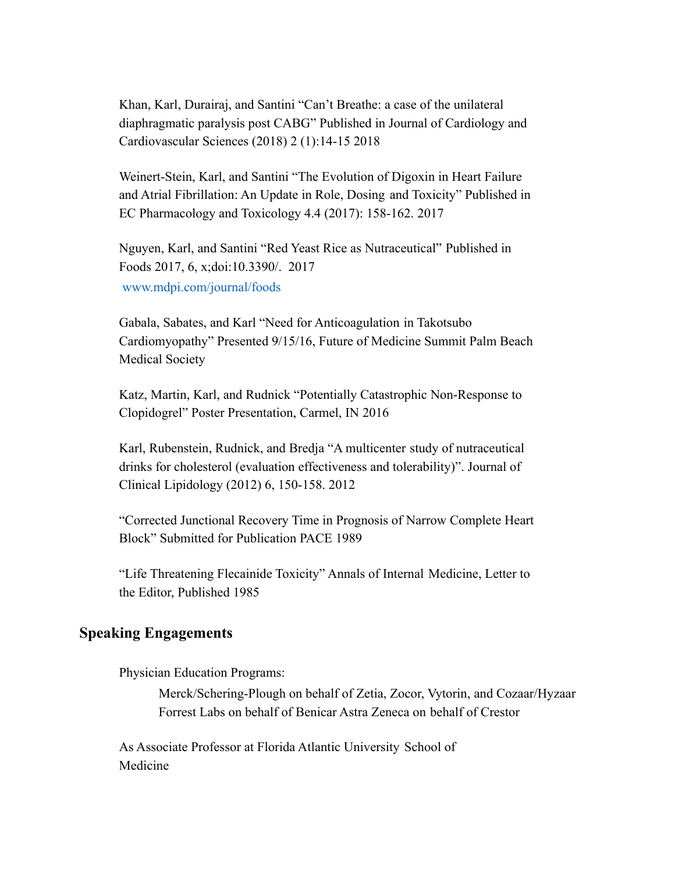Khan, Karl, Durairaj, and Santini "Can't Breathe: a case of the unilateral diaphragmatic paralysis post CABG" Published in Journal of Cardiology and Cardiovascular Sciences (2018) 2 (1):14-15 2018

Weinert-Stein, Karl, and Santini "The Evolution of Digoxin in Heart Failure and Atrial Fibrillation: An Update in Role, Dosing and Toxicity" Published in EC Pharmacology and Toxicology 4.4 (2017): 158-162. 2017

Nguyen, Karl, and Santini "Red Yeast Rice as Nutraceutical" Published in Foods 2017, 6, x;doi:10.3390/. 2017 www.mdpi.com/journal/foods

Gabala, Sabates, and Karl "Need for Anticoagulation in Takotsubo Cardiomyopathy" Presented 9/15/16, Future of Medicine Summit Palm Beach Medical Society

Katz, Martin, Karl, and Rudnick "Potentially Catastrophic Non-Response to Clopidogrel" Poster Presentation, Carmel, IN 2016

Karl, Rubenstein, Rudnick, and Bredja "A multicenter study of nutraceutical drinks for cholesterol (evaluation effectiveness and tolerability)". Journal of Clinical Lipidology (2012) 6, 150-158. 2012

"Corrected Junctional Recovery Time in Prognosis of Narrow Complete Heart Block" Submitted for Publication PACE 1989

"Life Threatening Flecainide Toxicity" Annals of Internal Medicine, Letter to the Editor, Published 1985

#### **Speaking Engagements**

Physician Education Programs:

Merck/Schering-Plough on behalf of Zetia, Zocor, Vytorin, and Cozaar/Hyzaar Forrest Labs on behalf of Benicar Astra Zeneca on behalf of Crestor

As Associate Professor at Florida Atlantic University School of Medicine